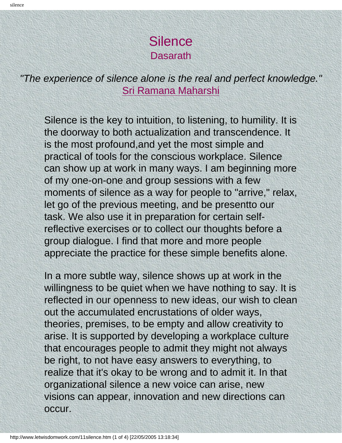## **Silence Dasarath**

*"The experience of silence alone is the real and perfect knowledge."* [Sri Ramana Maharshi](http://www.arunachala.org/ramana/)

Silence is the key to intuition, to listening, to humility. It is the doorway to both actualization and transcendence. It is the most profound,and yet the most simple and practical of tools for the conscious workplace. Silence can show up at work in many ways. I am beginning more of my one-on-one and group sessions with a few moments of silence as a way for people to "arrive," relax, let go of the previous meeting, and be presentto our task. We also use it in preparation for certain selfreflective exercises or to collect our thoughts before a group dialogue. I find that more and more people appreciate the practice for these simple benefits alone.

In a more subtle way, silence shows up at work in the willingness to be quiet when we have nothing to say. It is reflected in our openness to new ideas, our wish to clean out the accumulated encrustations of older ways, theories, premises, to be empty and allow creativity to arise. It is supported by developing a workplace culture that encourages people to admit they might not always be right, to not have easy answers to everything, to realize that it's okay to be wrong and to admit it. In that organizational silence a new voice can arise, new visions can appear, innovation and new directions can occur.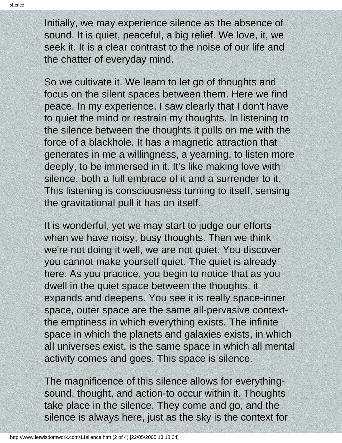Initially, we may experience silence as the absence of sound. It is quiet, peaceful, a big relief. We love, it, we seek it. It is a clear contrast to the noise of our life and the chatter of everyday mind.

So we cultivate it. We learn to let go of thoughts and focus on the silent spaces between them. Here we find peace. In my experience, I saw clearly that I don't have to quiet the mind or restrain my thoughts. In listening to the silence between the thoughts it pulls on me with the force of a blackhole. It has a magnetic attraction that generates in me a willingness, a yearning, to listen more deeply, to be immersed in it. It's like making love with silence, both a full embrace of it and a surrender to it. This listening is consciousness turning to itself, sensing the gravitational pull it has on itself.

It is wonderful, yet we may start to judge our efforts when we have noisy, busy thoughts. Then we think we're not doing it well, we are not quiet. You discover you cannot make yourself quiet. The quiet is already here. As you practice, you begin to notice that as you dwell in the quiet space between the thoughts, it expands and deepens. You see it is really space-inner space, outer space are the same all-pervasive contextthe emptiness in which everything exists. The infinite space in which the planets and galaxies exists, in which all universes exist, is the same space in which all mental activity comes and goes. This space is silence.

The magnificence of this silence allows for everythingsound, thought, and action-to occur within it. Thoughts take place in the silence. They come and go, and the silence is always here, just as the sky is the context for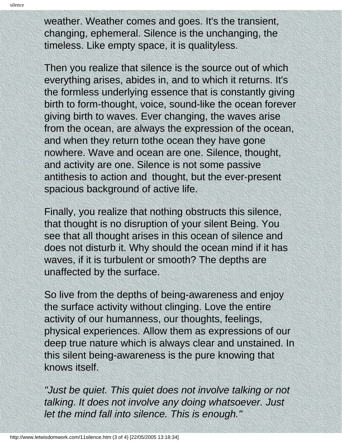weather. Weather comes and goes. It's the transient, changing, ephemeral. Silence is the unchanging, the timeless. Like empty space, it is qualityless.

Then you realize that silence is the source out of which everything arises, abides in, and to which it returns. It's the formless underlying essence that is constantly giving birth to form-thought, voice, sound-like the ocean forever giving birth to waves. Ever changing, the waves arise from the ocean, are always the expression of the ocean, and when they return tothe ocean they have gone nowhere. Wave and ocean are one. Silence, thought, and activity are one. Silence is not some passive antithesis to action and thought, but the ever-present spacious background of active life.

Finally, you realize that nothing obstructs this silence, that thought is no disruption of your silent Being. You see that all thought arises in this ocean of silence and does not disturb it. Why should the ocean mind if it has waves, if it is turbulent or smooth? The depths are unaffected by the surface.

So live from the depths of being-awareness and enjoy the surface activity without clinging. Love the entire activity of our humanness, our thoughts, feelings, physical experiences. Allow them as expressions of our deep true nature which is always clear and unstained. In this silent being-awareness is the pure knowing that knows itself.

*"Just be quiet. This quiet does not involve talking or not talking. It does not involve any doing whatsoever. Just let the mind fall into silence. This is enough."*